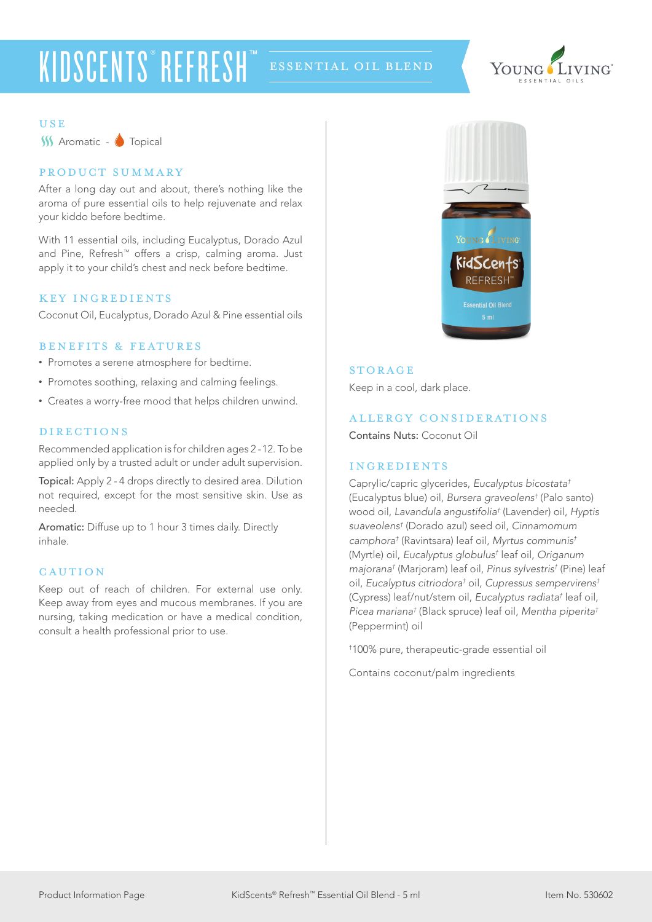# KIDSCENTS®REFRESH™



**USE** 

**W** Aromatic - Topical

# product summary

After a long day out and about, there's nothing like the aroma of pure essential oils to help rejuvenate and relax your kiddo before bedtime.

With 11 essential oils, including Eucalyptus, Dorado Azul and Pine, Refresh™ offers a crisp, calming aroma. Just apply it to your child's chest and neck before bedtime.

# KEY INGREDIENTS

Coconut Oil, Eucalyptus, Dorado Azul & Pine essential oils

# benefits & features

- Promotes a serene atmosphere for bedtime.
- Promotes soothing, relaxing and calming feelings.
- Creates a worry-free mood that helps children unwind.

# **DIRECTIONS**

Recommended application is for children ages 2 -12. To be applied only by a trusted adult or under adult supervision.

Topical: Apply 2 - 4 drops directly to desired area. Dilution not required, except for the most sensitive skin. Use as needed.

Aromatic: Diffuse up to 1 hour 3 times daily. Directly inhale.

# **CAUTION**

Keep out of reach of children. For external use only. Keep away from eyes and mucous membranes. If you are nursing, taking medication or have a medical condition, consult a health professional prior to use.



# **STORAGE**

Keep in a cool, dark place.

#### allergy considerations

Contains Nuts: Coconut Oil

## ingredients

Caprylic/capric glycerides, *Eucalyptus bicostata†* (Eucalyptus blue) oil, *Bursera graveolens†* (Palo santo) wood oil, *Lavandula angustifolia†* (Lavender) oil, *Hyptis suaveolens†* (Dorado azul) seed oil, *Cinnamomum camphora†* (Ravintsara) leaf oil, *Myrtus communis†* (Myrtle) oil, *Eucalyptus globulus†* leaf oil, *Origanum majorana†* (Marjoram) leaf oil, *Pinus sylvestris†* (Pine) leaf oil, *Eucalyptus citriodora†* oil, *Cupressus sempervirens†* (Cypress) leaf/nut/stem oil, *Eucalyptus radiata†* leaf oil, *Picea mariana†* (Black spruce) leaf oil, *Mentha piperita†* (Peppermint) oil

† 100% pure, therapeutic-grade essential oil

Contains coconut/palm ingredients